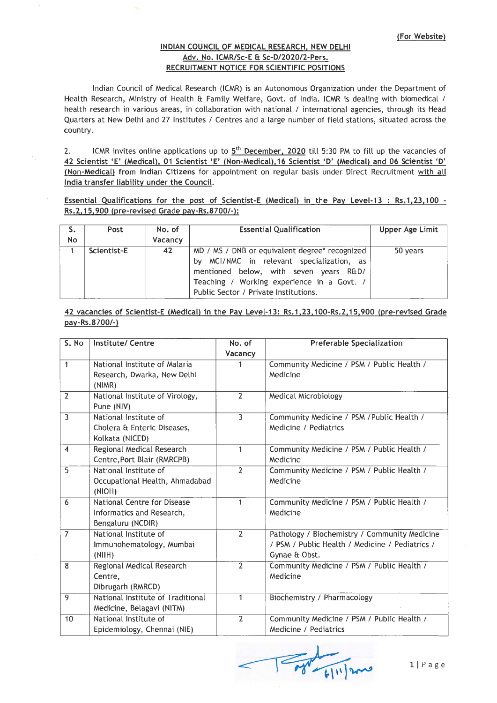# INDIAN COUNCIL OF MEDICAL RESEARCH, NEW DELHI Adv. No. ICMR/Sc-E & Sc-D/2020/2-Pers. RECRUITMENT NOTICE FOR SCIENTIFIC POSITIONS

Indian Council of Medical Research (ICMR) is an Autonomous Organization under the Department of Health Research, Ministry of Health & Family Welfare, Govt. of India. ICMR is dealing with biomedical / health research in various areas, in collaboration with national / international agencies, through its Head Quarters at New Delhi and 27 Institutes / Centres and a large number of field stations, situated across the country.

2. ICMR invites online applications up to  $5<sup>th</sup>$  December, 2020 till 5:30 PM to fill up the vacancies of 42 Scientist 'E' (Medical), 01 Scientist 'E' (Non-Medical), 16 Scientist 'D' (Medical) and 06 Scientist 'D' (Non-Medical) from Indian Citizens for appointment on regular basis under Direct Recruitment with all India transfer liability under the Council.

Essential Qualifications for the post of Scientist-E (Medical) in the Pay Level-13 : Rs.1, 23, 100 -Rs.2, 15, 900 (pre-revised Grade pay-Rs.8700/-):

|           | <b>Post</b> | No. of  | <b>Essential Qualification</b>                                                                                                                                                                                               | <b>Upper Age Limit</b> |
|-----------|-------------|---------|------------------------------------------------------------------------------------------------------------------------------------------------------------------------------------------------------------------------------|------------------------|
| <b>No</b> |             | Vacancy |                                                                                                                                                                                                                              |                        |
|           | Scientist-E | 42      | MD / MS / DNB or equivalent degree* recognized<br>by MCI/NMC in relevant specialization, as<br>mentioned below, with seven years R&D/<br>Teaching / Working experience in a Govt. /<br>Public Sector / Private Institutions. | 50 years               |

42 vacancies of Scientist-E (Medical) in the Pay Level-13: Rs.1,23,100-Rs.2, 15, 900 (pre-revised Grade pay-Rs.8700/-)

| S. No          | Institute/ Centre                  | No. of<br>Vacancy | <b>Preferable Specialization</b>                |
|----------------|------------------------------------|-------------------|-------------------------------------------------|
| 1              | National Institute of Malaria      |                   | Community Medicine / PSM / Public Health /      |
|                | Research, Dwarka, New Delhi        |                   | Medicine                                        |
|                | (NIMR)                             |                   |                                                 |
| $\overline{2}$ | National Institute of Virology,    | $\overline{2}$    | Medical Microbiology                            |
|                | Pune (NIV)                         |                   |                                                 |
| 3              | National Institute of              | $\overline{3}$    | Community Medicine / PSM / Public Health /      |
|                | Cholera & Enteric Diseases,        |                   | Medicine / Pediatrics                           |
|                | Kolkata (NICED)                    |                   |                                                 |
| $\overline{4}$ | Regional Medical Research          | 1                 | Community Medicine / PSM / Public Health /      |
|                | Centre, Port Blair (RMRCPB)        |                   | Medicine                                        |
| $\overline{5}$ | National Institute of              | $\overline{2}$    | Community Medicine / PSM / Public Health /      |
|                | Occupational Health, Ahmadabad     |                   | Medicine                                        |
|                | (NIOH)                             |                   |                                                 |
| 6              | <b>National Centre for Disease</b> | $\mathbf{1}$      | Community Medicine / PSM / Public Health /      |
|                | Informatics and Research,          |                   | Medicine                                        |
|                | Bengaluru (NCDIR)                  |                   |                                                 |
| $\overline{7}$ | National Institute of              | $\overline{2}$    | Pathology / Biochemistry / Community Medicine   |
|                | Immunohematology, Mumbai           |                   | / PSM / Public Health / Medicine / Pediatrics / |
|                | (NIIH)                             |                   | Gynae & Obst.                                   |
| 8              | Regional Medical Research          | $\overline{2}$    | Community Medicine / PSM / Public Health /      |
|                | Centre,                            |                   | Medicine                                        |
|                | Dibrugarh (RMRCD)                  |                   |                                                 |
| 9              | National Institute of Traditional  | 1                 | Biochemistry / Pharmacology                     |
|                | Medicine, Belagavi (NITM)          |                   |                                                 |
| 10             | National Institute of              | $\overline{2}$    | Community Medicine / PSM / Public Health /      |
|                | Epidemiology, Chennai (NIE)        |                   | Medicine / Pediatrics                           |

 $T = \frac{1}{\sqrt{2\pi}}$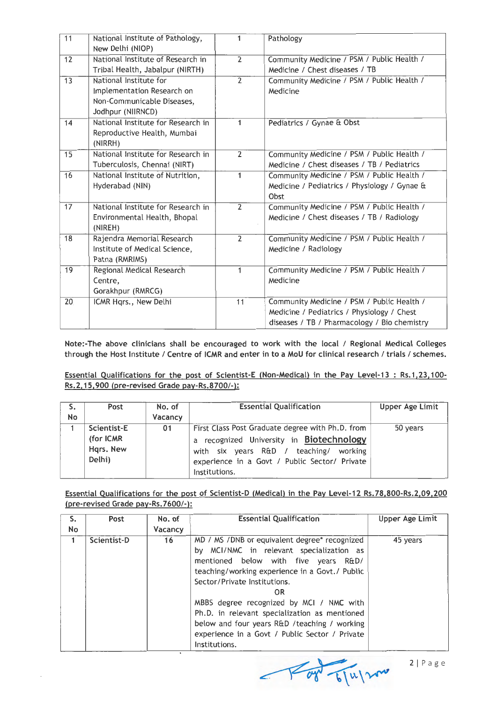| 11              | National Institute of Pathology,<br>New Delhi (NIOP)                                                    | 1              | Pathology                                                                                                                                |
|-----------------|---------------------------------------------------------------------------------------------------------|----------------|------------------------------------------------------------------------------------------------------------------------------------------|
| 12              | National Institute of Research in<br>Tribal Health, Jabalpur (NIRTH)                                    | $\overline{2}$ | Community Medicine / PSM / Public Health /<br>Medicine / Chest diseases / TB                                                             |
| $\overline{13}$ | National Institute for<br>Implementation Research on<br>Non-Communicable Diseases,<br>Jodhpur (NIIRNCD) | $\overline{2}$ | Community Medicine / PSM / Public Health /<br>Medicine                                                                                   |
| 14              | National Institute for Research in<br>Reproductive Health, Mumbai<br>(NIRRH)                            | 1              | Pediatrics / Gynae & Obst                                                                                                                |
| 15              | National Institute for Research in<br>Tuberculosis, Chennai (NIRT)                                      | $\overline{2}$ | Community Medicine / PSM / Public Health /<br>Medicine / Chest diseases / TB / Pediatrics                                                |
| 16              | National Institute of Nutrition,<br>Hyderabad (NIN)                                                     | 1              | Community Medicine / PSM / Public Health /<br>Medicine / Pediatrics / Physiology / Gynae &<br>Obst                                       |
| 17              | National Institute for Research in<br>Environmental Health, Bhopal<br>(NIREH)                           | $\overline{2}$ | Community Medicine / PSM / Public Health /<br>Medicine / Chest diseases / TB / Radiology                                                 |
| 18              | Rajendra Memorial Research<br>Institute of Medical Science,<br>Patna (RMRIMS)                           | $\overline{2}$ | Community Medicine / PSM / Public Health /<br>Medicine / Radiology                                                                       |
| 19              | Regional Medical Research<br>Centre,<br>Gorakhpur (RMRCG)                                               | 1              | Community Medicine / PSM / Public Health /<br>Medicine                                                                                   |
| 20              | ICMR Hqrs., New Delhi                                                                                   | 11             | Community Medicine / PSM / Public Health /<br>Medicine / Pediatrics / Physiology / Chest<br>diseases / TB / Pharmacology / Bio chemistry |

Note:-The above clinicians shall be encouraged to work with the local / Regional Medical Colleges through the Host Institute / Centre of ICMR and enter in to a MoU for clinical research / trials / schemes.

|                                                    |  | Essential Qualifications for the post of Scientist-E (Non-Medical) in the Pay Level-13: Rs.1,23,100- |  |  |  |
|----------------------------------------------------|--|------------------------------------------------------------------------------------------------------|--|--|--|
| Rs. 2, 15, 900 (pre-revised Grade pay-Rs. 8700/-): |  |                                                                                                      |  |  |  |

| s.<br>No | Post                                            | No. of<br>Vacancy | <b>Essential Qualification</b>                                                                                                                                                                                 | Upper Age Limit |
|----------|-------------------------------------------------|-------------------|----------------------------------------------------------------------------------------------------------------------------------------------------------------------------------------------------------------|-----------------|
|          | Scientist-E<br>(for ICMR<br>Hqrs. New<br>Delhi) | 01                | First Class Post Graduate degree with Ph.D. from<br>recognized University in Biotechnology<br>a<br>with six years R&D / teaching/<br>working<br>experience in a Govt / Public Sector/ Private<br>Institutions. | 50 years        |

Essential Qualifications for the post of Scientist-D (Medical) in the Pay Level-12 Rs. 78,800-Rs.2,09,200 (pre-revised Grade pay-Rs. 7600/-):

| s.<br><b>No</b> | Post        | No. of<br>Vacancy | <b>Essential Qualification</b>                                                                                                                                                                                                                                                                                                                                                                                                             | Upper Age Limit |
|-----------------|-------------|-------------------|--------------------------------------------------------------------------------------------------------------------------------------------------------------------------------------------------------------------------------------------------------------------------------------------------------------------------------------------------------------------------------------------------------------------------------------------|-----------------|
| 1.              | Scientist-D | 16 <sup>1</sup>   | MD / MS / DNB or equivalent degree* recognized<br>by MCI/NMC in relevant specialization as<br>mentioned below with five years R&D/<br>teaching/working experience in a Govt./ Public<br>Sector/Private Institutions.<br>0R<br>MBBS degree recognized by MCI / NMC with<br>Ph.D. in relevant specialization as mentioned<br>below and four years R&D /teaching / working<br>experience in a Govt / Public Sector / Private<br>Institutions. | 45 years        |

 $\sim$   $\sim$   $\frac{1}{6}$   $\approx$   $\sim$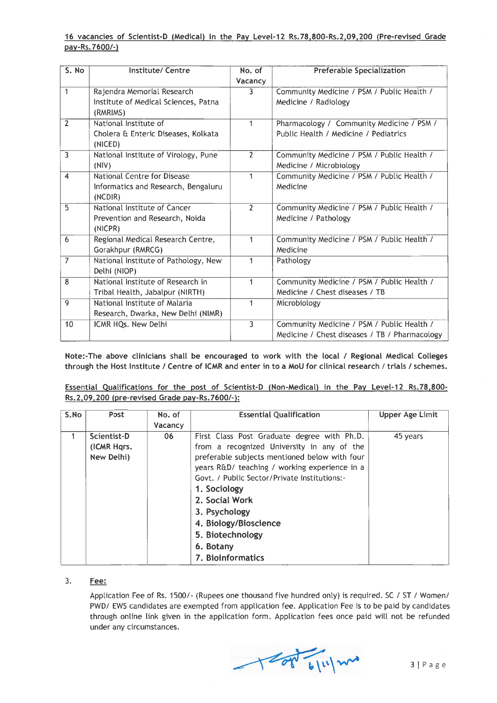# 16 vacancies of Scientist-D (Medical) in the Pay Level-12 Rs. 78,800-Rs.2,09,200 (Pre-revised Grade pay-Rs. 7600/-)

| $\overline{\mathsf{S}}$ . No | Institute/ Centre                    | No. of         | <b>Preferable Specialization</b>              |
|------------------------------|--------------------------------------|----------------|-----------------------------------------------|
|                              |                                      | Vacancy        |                                               |
| $\mathbf{1}$                 | Rajendra Memorial Research           | 3              | Community Medicine / PSM / Public Health /    |
|                              | Institute of Medical Sciences, Patna |                | Medicine / Radiology                          |
|                              | (RMRIMS)                             |                |                                               |
| $\overline{2}$               | National Institute of                | 1              | Pharmacology / Community Medicine / PSM /     |
|                              | Cholera & Enteric Diseases, Kolkata  |                | Public Health / Medicine / Pediatrics         |
|                              | (NICED)                              |                |                                               |
| $\overline{3}$               | National Institute of Virology, Pune | $\overline{2}$ | Community Medicine / PSM / Public Health /    |
|                              | (NIV)                                |                | Medicine / Microbiology                       |
| $\overline{4}$               | National Centre for Disease          | 1              | Community Medicine / PSM / Public Health /    |
|                              | Informatics and Research, Bengaluru  |                | Medicine                                      |
|                              | (NCDIR)                              |                |                                               |
| $\overline{5}$               | National Institute of Cancer         | $\overline{2}$ | Community Medicine / PSM / Public Health /    |
|                              | Prevention and Research, Noida       |                | Medicine / Pathology                          |
|                              | (NICPR)                              |                |                                               |
| 6                            | Regional Medical Research Centre,    | 1              | Community Medicine / PSM / Public Health /    |
|                              | Gorakhpur (RMRCG)                    |                | Medicine                                      |
| $\overline{7}$               | National Institute of Pathology, New | 1              | Pathology                                     |
|                              | Delhi (NIOP)                         |                |                                               |
| 8                            | National Institute of Research in    | 1              | Community Medicine / PSM / Public Health /    |
|                              | Tribal Health, Jabalpur (NIRTH)      |                | Medicine / Chest diseases / TB                |
| 9                            | National Institute of Malaria        | 1              | Microbiology                                  |
|                              | Research, Dwarka, New Delhi (NIMR)   |                |                                               |
| 10                           | ICMR HQs. New Delhi                  | $\overline{3}$ | Community Medicine / PSM / Public Health /    |
|                              |                                      |                | Medicine / Chest diseases / TB / Pharmacology |

Note:-The above clinicians shall be encouraged to work with the local / Regional Medical Colleges through the Host Institute / Centre of ICMR and enter in to a MoU for clinical research / trials / schemes.

| Essential Qualifications for the post of Scientist-D (Non-Medical) in the Pay Level-12 Rs.78,800- |  |  |  |  |  |  |  |
|---------------------------------------------------------------------------------------------------|--|--|--|--|--|--|--|
| $Rs. 2.09.200$ (pre-revised Grade pay-Rs.7600/-):                                                 |  |  |  |  |  |  |  |
|                                                                                                   |  |  |  |  |  |  |  |

| S.No | Post        | No. of  | <b>Essential Qualification</b>                | Upper Age Limit |
|------|-------------|---------|-----------------------------------------------|-----------------|
|      |             | Vacancy |                                               |                 |
|      | Scientist-D | 06      | First Class Post Graduate degree with Ph.D.   | 45 years        |
|      | (ICMR Hqrs. |         | from a recognized University in any of the    |                 |
|      | New Delhi)  |         | preferable subjects mentioned below with four |                 |
|      |             |         | years R&D/ teaching / working experience in a |                 |
|      |             |         | Govt. / Public Sector/Private Institutions:-  |                 |
|      |             |         | 1. Sociology                                  |                 |
|      |             |         | 2. Social Work                                |                 |
|      |             |         | 3. Psychology                                 |                 |
|      |             |         | 4. Biology/Bioscience                         |                 |
|      |             |         | 5. Biotechnology                              |                 |
|      |             |         | 6. Botany                                     |                 |
|      |             |         | 7. Bioinformatics                             |                 |

# 3. Fee:

Application Fee of Rs. 1500/- (Rupees one thousand five hundred only) is required. SC / ST / Women/ PWD/ EWS candidates are exempted from application fee. Application Fee is to be paid by candidates through online link given in the application form. Application fees once paid will not be refunded under any circumstances.

Top 6/10/2nd